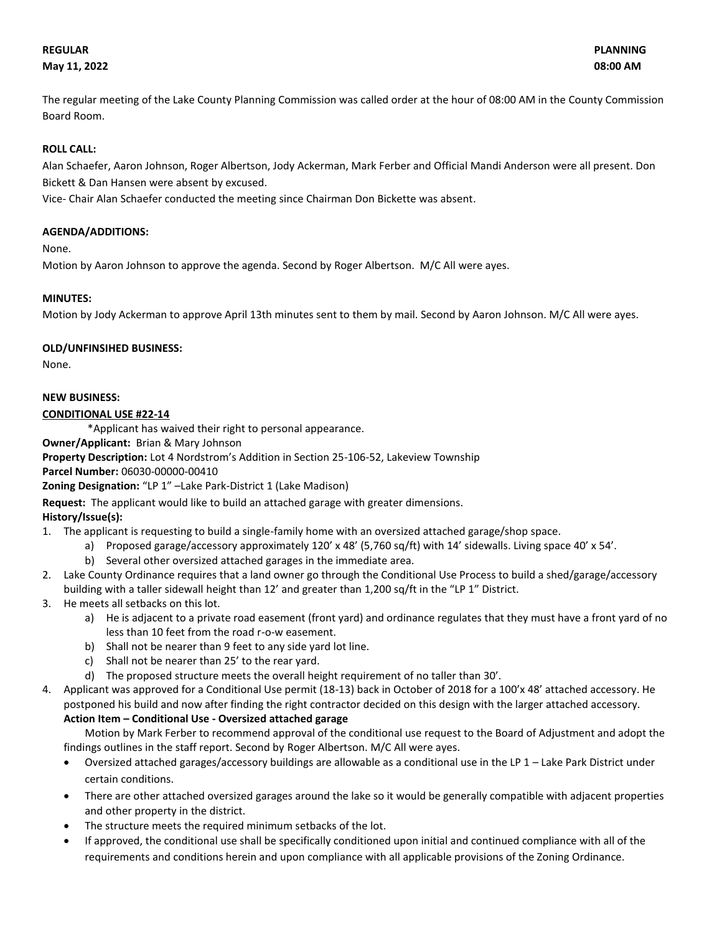## **May 11, 2022 08:00 AM**

The regular meeting of the Lake County Planning Commission was called order at the hour of 08:00 AM in the County Commission Board Room.

## **ROLL CALL:**

Alan Schaefer, Aaron Johnson, Roger Albertson, Jody Ackerman, Mark Ferber and Official Mandi Anderson were all present. Don Bickett & Dan Hansen were absent by excused.

Vice- Chair Alan Schaefer conducted the meeting since Chairman Don Bickette was absent.

## **AGENDA/ADDITIONS:**

None.

Motion by Aaron Johnson to approve the agenda. Second by Roger Albertson. M/C All were ayes.

#### **MINUTES:**

Motion by Jody Ackerman to approve April 13th minutes sent to them by mail. Second by Aaron Johnson. M/C All were ayes.

#### **OLD/UNFINSIHED BUSINESS:**

None.

#### **NEW BUSINESS:**

#### **CONDITIONAL USE #22-14**

\*Applicant has waived their right to personal appearance.

**Owner/Applicant:** Brian & Mary Johnson

**Property Description:** Lot 4 Nordstrom's Addition in Section 25-106-52, Lakeview Township

**Parcel Number:** 06030-00000-00410

**Zoning Designation:** "LP 1" –Lake Park-District 1 (Lake Madison)

## **Request:** The applicant would like to build an attached garage with greater dimensions.

## **History/Issue(s):**

- 1. The applicant is requesting to build a single-family home with an oversized attached garage/shop space.
	- a) Proposed garage/accessory approximately 120' x 48' (5,760 sq/ft) with 14' sidewalls. Living space 40' x 54'.
	- b) Several other oversized attached garages in the immediate area.
- 2. Lake County Ordinance requires that a land owner go through the Conditional Use Process to build a shed/garage/accessory building with a taller sidewall height than 12' and greater than 1,200 sq/ft in the "LP 1" District.
- 3. He meets all setbacks on this lot.
	- a) He is adjacent to a private road easement (front yard) and ordinance regulates that they must have a front yard of no less than 10 feet from the road r-o-w easement.
	- b) Shall not be nearer than 9 feet to any side yard lot line.
	- c) Shall not be nearer than 25' to the rear yard.
	- d) The proposed structure meets the overall height requirement of no taller than 30'.
- 4. Applicant was approved for a Conditional Use permit (18-13) back in October of 2018 for a 100'x 48' attached accessory. He postponed his build and now after finding the right contractor decided on this design with the larger attached accessory. **Action Item – Conditional Use - Oversized attached garage**

Motion by Mark Ferber to recommend approval of the conditional use request to the Board of Adjustment and adopt the findings outlines in the staff report. Second by Roger Albertson. M/C All were ayes.

- Oversized attached garages/accessory buildings are allowable as a conditional use in the LP 1 Lake Park District under certain conditions.
- There are other attached oversized garages around the lake so it would be generally compatible with adjacent properties and other property in the district.
- The structure meets the required minimum setbacks of the lot.
- If approved, the conditional use shall be specifically conditioned upon initial and continued compliance with all of the requirements and conditions herein and upon compliance with all applicable provisions of the Zoning Ordinance.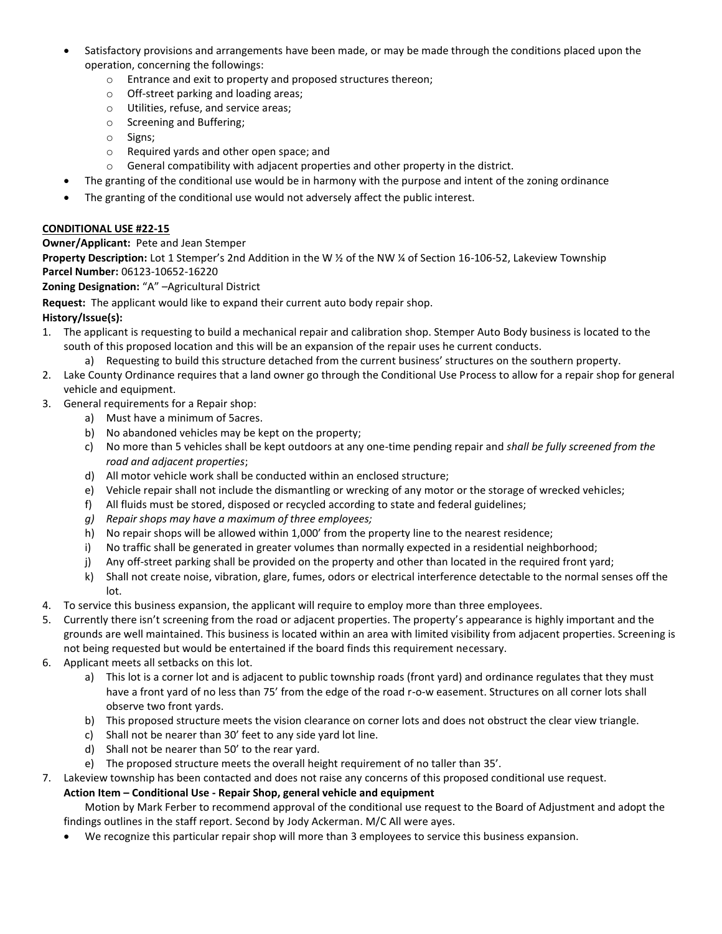- Satisfactory provisions and arrangements have been made, or may be made through the conditions placed upon the operation, concerning the followings:
	- o Entrance and exit to property and proposed structures thereon;
	- o Off-street parking and loading areas;
	- o Utilities, refuse, and service areas;
	- o Screening and Buffering;
	- o Signs;
	- o Required yards and other open space; and
	- o General compatibility with adjacent properties and other property in the district.
- The granting of the conditional use would be in harmony with the purpose and intent of the zoning ordinance
- The granting of the conditional use would not adversely affect the public interest.

## **CONDITIONAL USE #22-15**

## **Owner/Applicant:** Pete and Jean Stemper

**Property Description:** Lot 1 Stemper's 2nd Addition in the W ½ of the NW ¼ of Section 16-106-52, Lakeview Township **Parcel Number:** 06123-10652-16220

## **Zoning Designation:** "A" –Agricultural District

**Request:** The applicant would like to expand their current auto body repair shop.

# **History/Issue(s):**

- 1. The applicant is requesting to build a mechanical repair and calibration shop. Stemper Auto Body business is located to the south of this proposed location and this will be an expansion of the repair uses he current conducts.
	- a) Requesting to build this structure detached from the current business' structures on the southern property.
- 2. Lake County Ordinance requires that a land owner go through the Conditional Use Process to allow for a repair shop for general vehicle and equipment.
- 3. General requirements for a Repair shop:
	- a) Must have a minimum of 5acres.
	- b) No abandoned vehicles may be kept on the property;
	- c) No more than 5 vehicles shall be kept outdoors at any one-time pending repair and *shall be fully screened from the road and adjacent properties*;
	- d) All motor vehicle work shall be conducted within an enclosed structure;
	- e) Vehicle repair shall not include the dismantling or wrecking of any motor or the storage of wrecked vehicles;
	- f) All fluids must be stored, disposed or recycled according to state and federal guidelines;
	- *g) Repair shops may have a maximum of three employees;*
	- h) No repair shops will be allowed within 1,000' from the property line to the nearest residence;
	- i) No traffic shall be generated in greater volumes than normally expected in a residential neighborhood;
	- j) Any off-street parking shall be provided on the property and other than located in the required front yard;
	- k) Shall not create noise, vibration, glare, fumes, odors or electrical interference detectable to the normal senses off the lot.
- 4. To service this business expansion, the applicant will require to employ more than three employees.
- 5. Currently there isn't screening from the road or adjacent properties. The property's appearance is highly important and the grounds are well maintained. This business is located within an area with limited visibility from adjacent properties. Screening is not being requested but would be entertained if the board finds this requirement necessary.
- 6. Applicant meets all setbacks on this lot.
	- a) This lot is a corner lot and is adjacent to public township roads (front yard) and ordinance regulates that they must have a front yard of no less than 75' from the edge of the road r-o-w easement. Structures on all corner lots shall observe two front yards.
	- b) This proposed structure meets the vision clearance on corner lots and does not obstruct the clear view triangle.
	- c) Shall not be nearer than 30' feet to any side yard lot line.
	- d) Shall not be nearer than 50' to the rear yard.
	- e) The proposed structure meets the overall height requirement of no taller than 35'.
- 7. Lakeview township has been contacted and does not raise any concerns of this proposed conditional use request.

## **Action Item – Conditional Use - Repair Shop, general vehicle and equipment**

Motion by Mark Ferber to recommend approval of the conditional use request to the Board of Adjustment and adopt the findings outlines in the staff report. Second by Jody Ackerman. M/C All were ayes.

• We recognize this particular repair shop will more than 3 employees to service this business expansion.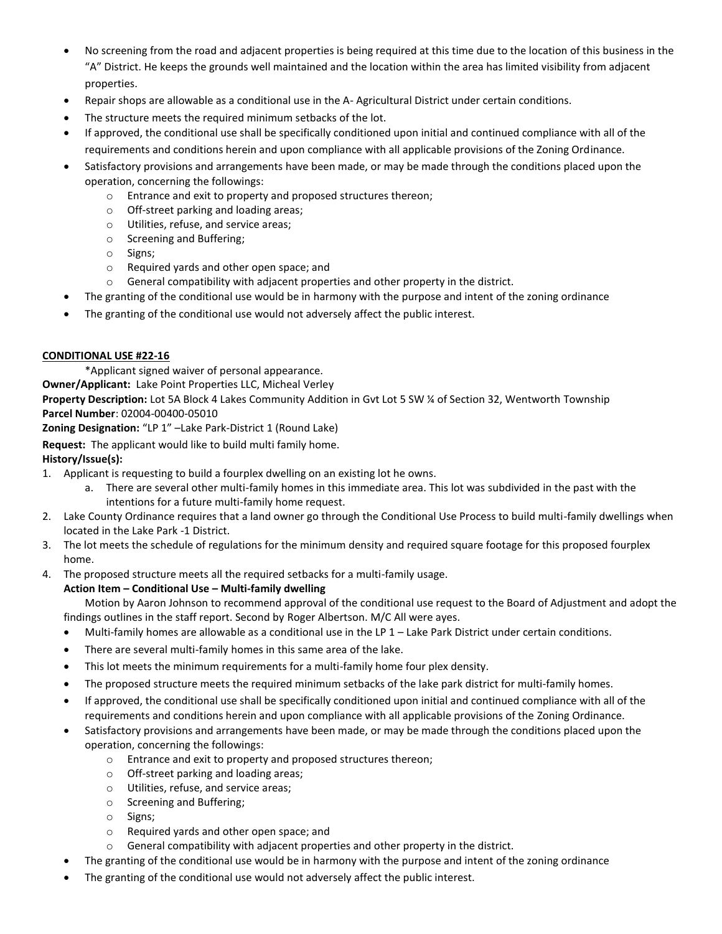- No screening from the road and adjacent properties is being required at this time due to the location of this business in the "A" District. He keeps the grounds well maintained and the location within the area has limited visibility from adjacent properties.
- Repair shops are allowable as a conditional use in the A- Agricultural District under certain conditions.
- The structure meets the required minimum setbacks of the lot.
- If approved, the conditional use shall be specifically conditioned upon initial and continued compliance with all of the requirements and conditions herein and upon compliance with all applicable provisions of the Zoning Ordinance.
- Satisfactory provisions and arrangements have been made, or may be made through the conditions placed upon the operation, concerning the followings:
	- o Entrance and exit to property and proposed structures thereon;
	- o Off-street parking and loading areas;
	- o Utilities, refuse, and service areas;
	- o Screening and Buffering;
	- o Signs;
	- o Required yards and other open space; and
	- $\circ$  General compatibility with adjacent properties and other property in the district.
- The granting of the conditional use would be in harmony with the purpose and intent of the zoning ordinance
- The granting of the conditional use would not adversely affect the public interest.

## **CONDITIONAL USE #22-16**

\*Applicant signed waiver of personal appearance.

**Owner/Applicant:** Lake Point Properties LLC, Micheal Verley

**Property Description:** Lot 5A Block 4 Lakes Community Addition in Gvt Lot 5 SW ¼ of Section 32, Wentworth Township **Parcel Number**: 02004-00400-05010

**Zoning Designation:** "LP 1" –Lake Park-District 1 (Round Lake)

**Request:** The applicant would like to build multi family home.

## **History/Issue(s):**

- 1. Applicant is requesting to build a fourplex dwelling on an existing lot he owns.
	- a. There are several other multi-family homes in this immediate area. This lot was subdivided in the past with the intentions for a future multi-family home request.
- 2. Lake County Ordinance requires that a land owner go through the Conditional Use Process to build multi-family dwellings when located in the Lake Park -1 District.
- 3. The lot meets the schedule of regulations for the minimum density and required square footage for this proposed fourplex home.
- 4. The proposed structure meets all the required setbacks for a multi-family usage.

## **Action Item – Conditional Use – Multi-family dwelling**

Motion by Aaron Johnson to recommend approval of the conditional use request to the Board of Adjustment and adopt the findings outlines in the staff report. Second by Roger Albertson. M/C All were ayes.

- Multi-family homes are allowable as a conditional use in the LP 1 Lake Park District under certain conditions.
- There are several multi-family homes in this same area of the lake.
- This lot meets the minimum requirements for a multi-family home four plex density.
- The proposed structure meets the required minimum setbacks of the lake park district for multi-family homes.
- If approved, the conditional use shall be specifically conditioned upon initial and continued compliance with all of the requirements and conditions herein and upon compliance with all applicable provisions of the Zoning Ordinance.
- Satisfactory provisions and arrangements have been made, or may be made through the conditions placed upon the operation, concerning the followings:
	- o Entrance and exit to property and proposed structures thereon;
	- o Off-street parking and loading areas;
	- o Utilities, refuse, and service areas;
	- o Screening and Buffering;
	- o Signs;
	- o Required yards and other open space; and
	- $\circ$  General compatibility with adjacent properties and other property in the district.
- The granting of the conditional use would be in harmony with the purpose and intent of the zoning ordinance
- The granting of the conditional use would not adversely affect the public interest.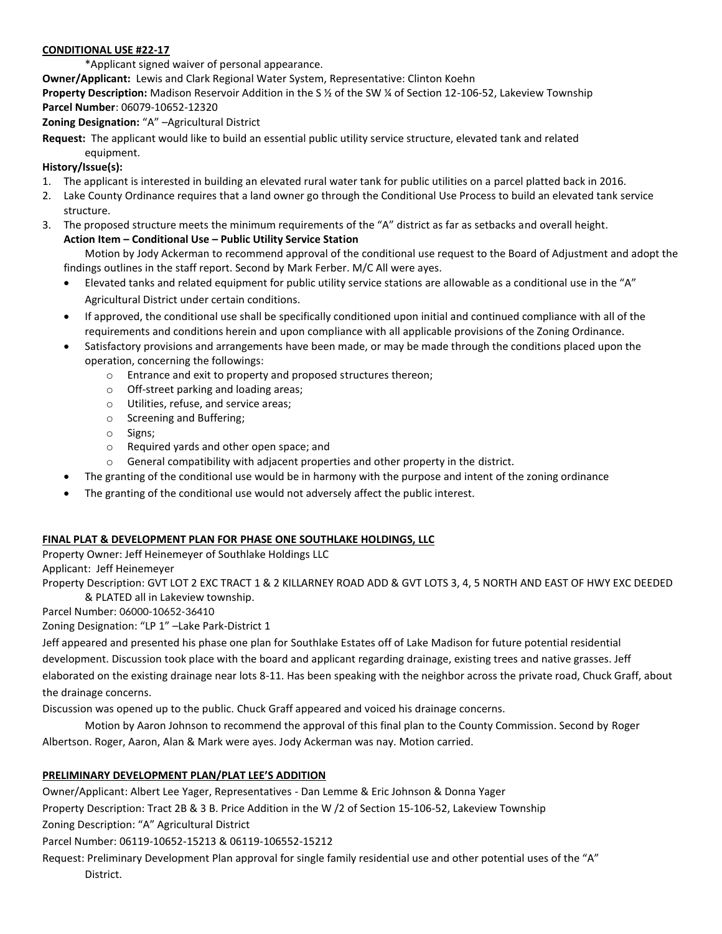#### **CONDITIONAL USE #22-17**

\*Applicant signed waiver of personal appearance.

**Owner/Applicant:** Lewis and Clark Regional Water System, Representative: Clinton Koehn

**Property Description:** Madison Reservoir Addition in the S ½ of the SW ¼ of Section 12-106-52, Lakeview Township **Parcel Number**: 06079-10652-12320

**Zoning Designation:** "A" –Agricultural District

**Request:** The applicant would like to build an essential public utility service structure, elevated tank and related equipment.

## **History/Issue(s):**

- 1. The applicant is interested in building an elevated rural water tank for public utilities on a parcel platted back in 2016.
- 2. Lake County Ordinance requires that a land owner go through the Conditional Use Process to build an elevated tank service structure.
- 3. The proposed structure meets the minimum requirements of the "A" district as far as setbacks and overall height. **Action Item – Conditional Use – Public Utility Service Station**

Motion by Jody Ackerman to recommend approval of the conditional use request to the Board of Adjustment and adopt the findings outlines in the staff report. Second by Mark Ferber. M/C All were ayes.

- Elevated tanks and related equipment for public utility service stations are allowable as a conditional use in the "A" Agricultural District under certain conditions.
- If approved, the conditional use shall be specifically conditioned upon initial and continued compliance with all of the requirements and conditions herein and upon compliance with all applicable provisions of the Zoning Ordinance.
- Satisfactory provisions and arrangements have been made, or may be made through the conditions placed upon the operation, concerning the followings:
	- o Entrance and exit to property and proposed structures thereon;
	- o Off-street parking and loading areas;
	- o Utilities, refuse, and service areas;
	- o Screening and Buffering;
	- o Signs;
	- o Required yards and other open space; and
	- o General compatibility with adjacent properties and other property in the district.
- The granting of the conditional use would be in harmony with the purpose and intent of the zoning ordinance
- The granting of the conditional use would not adversely affect the public interest.

## **FINAL PLAT & DEVELOPMENT PLAN FOR PHASE ONE SOUTHLAKE HOLDINGS, LLC**

Property Owner: Jeff Heinemeyer of Southlake Holdings LLC

Applicant: Jeff Heinemeyer

Property Description: GVT LOT 2 EXC TRACT 1 & 2 KILLARNEY ROAD ADD & GVT LOTS 3, 4, 5 NORTH AND EAST OF HWY EXC DEEDED & PLATED all in Lakeview township.

Parcel Number: 06000-10652-36410

Zoning Designation: "LP 1" –Lake Park-District 1

Jeff appeared and presented his phase one plan for Southlake Estates off of Lake Madison for future potential residential development. Discussion took place with the board and applicant regarding drainage, existing trees and native grasses. Jeff elaborated on the existing drainage near lots 8-11. Has been speaking with the neighbor across the private road, Chuck Graff, about the drainage concerns.

Discussion was opened up to the public. Chuck Graff appeared and voiced his drainage concerns.

Motion by Aaron Johnson to recommend the approval of this final plan to the County Commission. Second by Roger Albertson. Roger, Aaron, Alan & Mark were ayes. Jody Ackerman was nay. Motion carried.

## **PRELIMINARY DEVELOPMENT PLAN/PLAT LEE'S ADDITION**

Owner/Applicant: Albert Lee Yager, Representatives - Dan Lemme & Eric Johnson & Donna Yager

Property Description: Tract 2B & 3 B. Price Addition in the W /2 of Section 15-106-52, Lakeview Township

Zoning Description: "A" Agricultural District

Parcel Number: 06119-10652-15213 & 06119-106552-15212

Request: Preliminary Development Plan approval for single family residential use and other potential uses of the "A" District.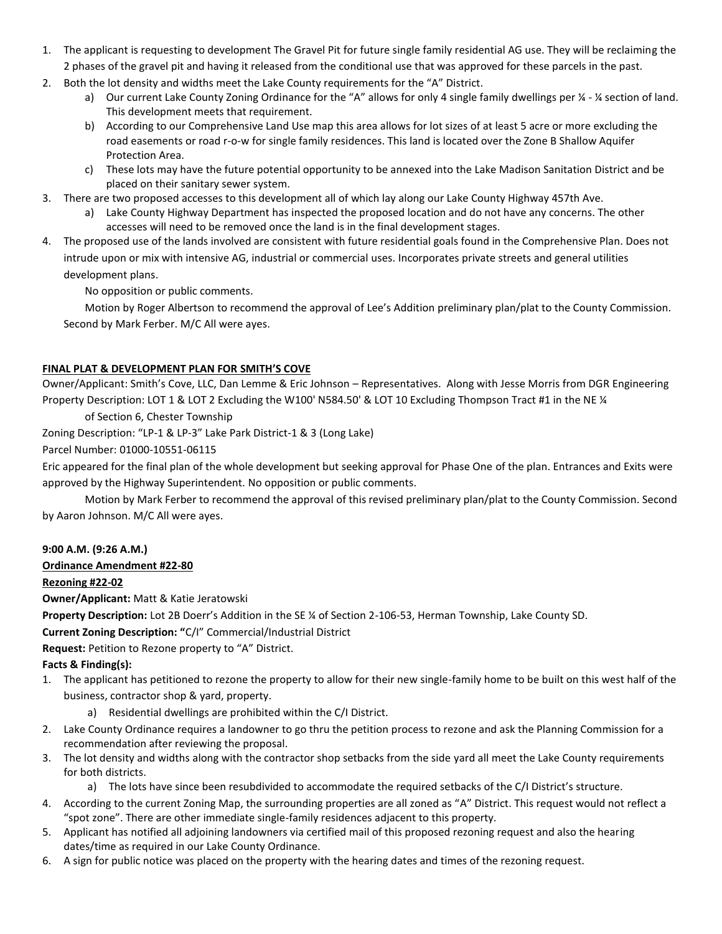- 1. The applicant is requesting to development The Gravel Pit for future single family residential AG use. They will be reclaiming the 2 phases of the gravel pit and having it released from the conditional use that was approved for these parcels in the past.
- 2. Both the lot density and widths meet the Lake County requirements for the "A" District.
	- a) Our current Lake County Zoning Ordinance for the "A" allows for only 4 single family dwellings per  $\frac{1}{4}$ - $\frac{1}{4}$  section of land. This development meets that requirement.
	- b) According to our Comprehensive Land Use map this area allows for lot sizes of at least 5 acre or more excluding the road easements or road r-o-w for single family residences. This land is located over the Zone B Shallow Aquifer Protection Area.
	- c) These lots may have the future potential opportunity to be annexed into the Lake Madison Sanitation District and be placed on their sanitary sewer system.
- 3. There are two proposed accesses to this development all of which lay along our Lake County Highway 457th Ave.
	- a) Lake County Highway Department has inspected the proposed location and do not have any concerns. The other accesses will need to be removed once the land is in the final development stages.
- 4. The proposed use of the lands involved are consistent with future residential goals found in the Comprehensive Plan. Does not intrude upon or mix with intensive AG, industrial or commercial uses. Incorporates private streets and general utilities development plans.

No opposition or public comments.

Motion by Roger Albertson to recommend the approval of Lee's Addition preliminary plan/plat to the County Commission. Second by Mark Ferber. M/C All were ayes.

# **FINAL PLAT & DEVELOPMENT PLAN FOR SMITH'S COVE**

Owner/Applicant: Smith's Cove, LLC, Dan Lemme & Eric Johnson – Representatives. Along with Jesse Morris from DGR Engineering Property Description: LOT 1 & LOT 2 Excluding the W100' N584.50' & LOT 10 Excluding Thompson Tract #1 in the NE ¼

of Section 6, Chester Township

Zoning Description: "LP-1 & LP-3" Lake Park District-1 & 3 (Long Lake)

Parcel Number: 01000-10551-06115

Eric appeared for the final plan of the whole development but seeking approval for Phase One of the plan. Entrances and Exits were approved by the Highway Superintendent. No opposition or public comments.

Motion by Mark Ferber to recommend the approval of this revised preliminary plan/plat to the County Commission. Second by Aaron Johnson. M/C All were ayes.

## **9:00 A.M. (9:26 A.M.)**

## **Ordinance Amendment #22-80**

## **Rezoning #22-02**

**Owner/Applicant:** Matt & Katie Jeratowski

**Property Description:** Lot 2B Doerr's Addition in the SE ¼ of Section 2-106-53, Herman Township, Lake County SD.

**Current Zoning Description: "**C/I" Commercial/Industrial District

**Request:** Petition to Rezone property to "A" District.

## **Facts & Finding(s):**

- 1. The applicant has petitioned to rezone the property to allow for their new single-family home to be built on this west half of the business, contractor shop & yard, property.
	- a) Residential dwellings are prohibited within the C/I District.
- 2. Lake County Ordinance requires a landowner to go thru the petition process to rezone and ask the Planning Commission for a recommendation after reviewing the proposal.
- 3. The lot density and widths along with the contractor shop setbacks from the side yard all meet the Lake County requirements for both districts.

a) The lots have since been resubdivided to accommodate the required setbacks of the C/I District's structure.

- 4. According to the current Zoning Map, the surrounding properties are all zoned as "A" District. This request would not reflect a "spot zone". There are other immediate single-family residences adjacent to this property.
- 5. Applicant has notified all adjoining landowners via certified mail of this proposed rezoning request and also the hearing dates/time as required in our Lake County Ordinance.
- 6. A sign for public notice was placed on the property with the hearing dates and times of the rezoning request.